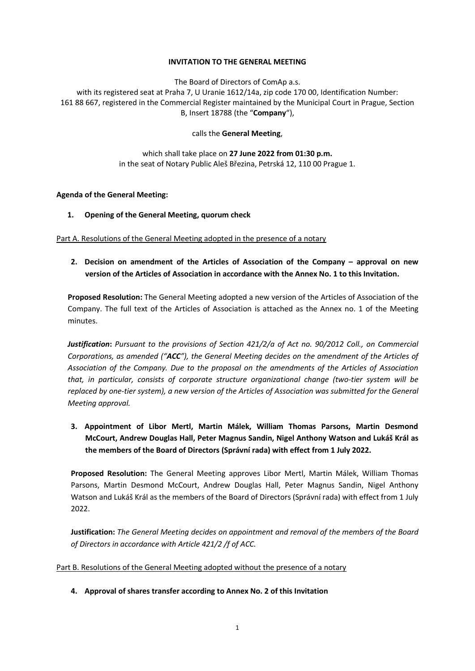### **INVITATION TO THE GENERAL MEETING**

The Board of Directors of ComAp a.s.

with its registered seat at Praha 7, U Uranie 1612/14a, zip code 170 00, Identification Number: 161 88 667, registered in the Commercial Register maintained by the Municipal Court in Prague, Section B, Insert 18788 (the "**Company**"),

calls the **General Meeting**,

## which shall take place on **27 June 2022 from 01:30 p.m.** in the seat of Notary Public Aleš Březina, Petrská 12, 110 00 Prague 1.

### **Agenda of the General Meeting:**

## **1. Opening of the General Meeting, quorum check**

Part A. Resolutions of the General Meeting adopted in the presence of a notary

# **2. Decision on amendment of the Articles of Association of the Company – approval on new version of the Articles of Association in accordance with the Annex No. 1 to this Invitation.**

**Proposed Resolution:** The General Meeting adopted a new version of the Articles of Association of the Company. The full text of the Articles of Association is attached as the Annex no. 1 of the Meeting minutes.

*Justification***:** *Pursuant to the provisions of Section 421/2/a of Act no. 90/2012 Coll., on Commercial Corporations, as amended ("ACC"), the General Meeting decides on the amendment of the Articles of Association of the Company. Due to the proposal on the amendments of the Articles of Association that, in particular, consists of corporate structure organizational change (two-tier system will be replaced by one-tier system), a new version of the Articles of Association was submitted for the General Meeting approval.* 

**3. Appointment of Libor Mertl, Martin Málek, William Thomas Parsons, Martin Desmond McCourt, Andrew Douglas Hall, Peter Magnus Sandin, Nigel Anthony Watson and Lukáš Král as the members of the Board of Directors (Správní rada) with effect from 1 July 2022.**

**Proposed Resolution:** The General Meeting approves Libor Mertl, Martin Málek, William Thomas Parsons, Martin Desmond McCourt, Andrew Douglas Hall, Peter Magnus Sandin, Nigel Anthony Watson and Lukáš Král as the members of the Board of Directors (Správní rada) with effect from 1 July 2022.

**Justification:** *The General Meeting decides on appointment and removal of the members of the Board of Directors in accordance with Article 421/2 /f of ACC.*

## Part B. Resolutions of the General Meeting adopted without the presence of a notary

**4. Approval of shares transfer according to Annex No. 2 of this Invitation**